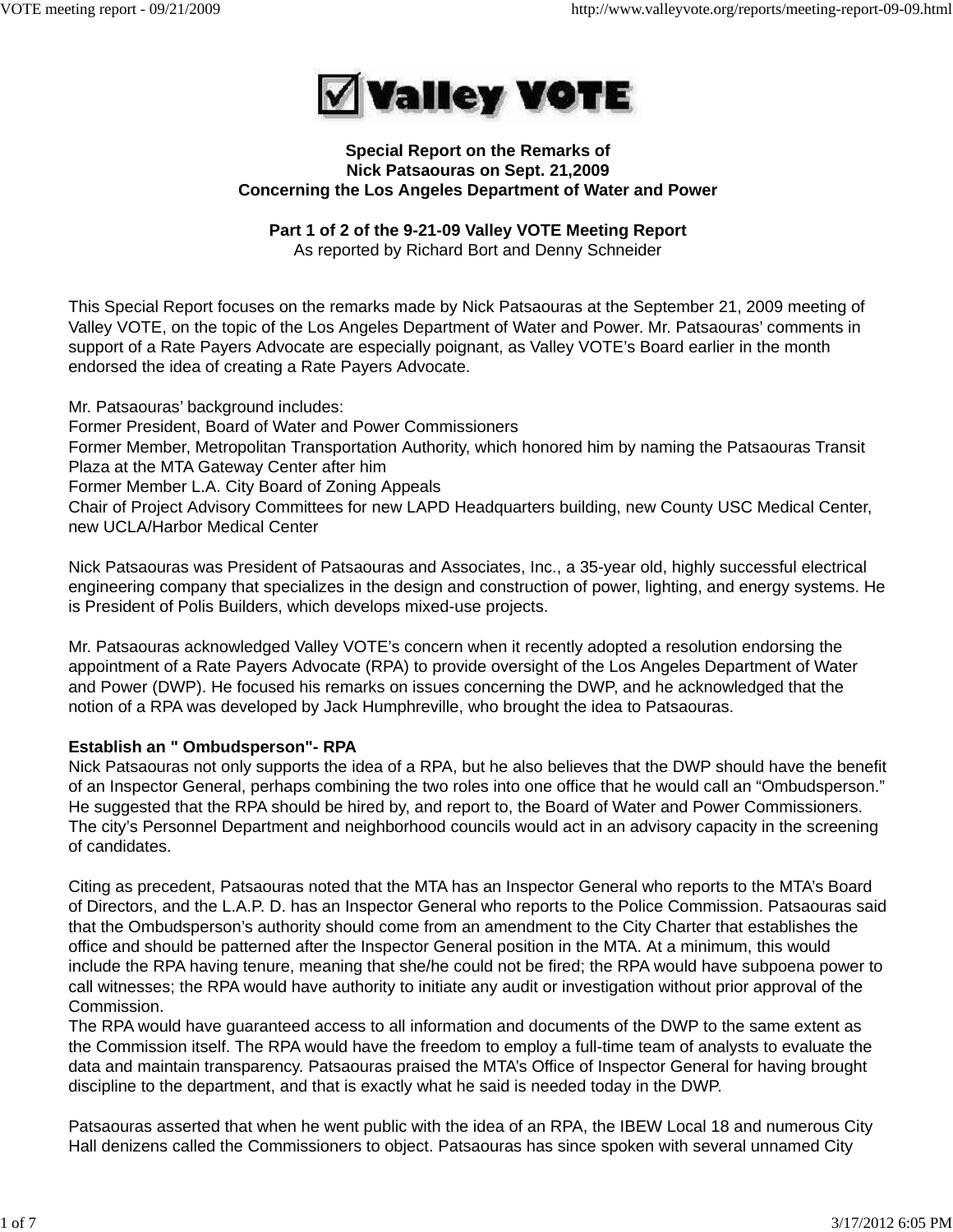

#### **Special Report on the Remarks of Nick Patsaouras on Sept. 21,2009 Concerning the Los Angeles Department of Water and Power**

# **Part 1 of 2 of the 9-21-09 Valley VOTE Meeting Report**

As reported by Richard Bort and Denny Schneider

This Special Report focuses on the remarks made by Nick Patsaouras at the September 21, 2009 meeting of Valley VOTE, on the topic of the Los Angeles Department of Water and Power. Mr. Patsaouras' comments in support of a Rate Payers Advocate are especially poignant, as Valley VOTE's Board earlier in the month endorsed the idea of creating a Rate Payers Advocate.

Mr. Patsaouras' background includes: Former President, Board of Water and Power Commissioners Former Member, Metropolitan Transportation Authority, which honored him by naming the Patsaouras Transit Plaza at the MTA Gateway Center after him Former Member L.A. City Board of Zoning Appeals Chair of Project Advisory Committees for new LAPD Headquarters building, new County USC Medical Center, new UCLA/Harbor Medical Center

Nick Patsaouras was President of Patsaouras and Associates, Inc., a 35-year old, highly successful electrical engineering company that specializes in the design and construction of power, lighting, and energy systems. He is President of Polis Builders, which develops mixed-use projects.

Mr. Patsaouras acknowledged Valley VOTE's concern when it recently adopted a resolution endorsing the appointment of a Rate Payers Advocate (RPA) to provide oversight of the Los Angeles Department of Water and Power (DWP). He focused his remarks on issues concerning the DWP, and he acknowledged that the notion of a RPA was developed by Jack Humphreville, who brought the idea to Patsaouras.

# **Establish an " Ombudsperson"- RPA**

Nick Patsaouras not only supports the idea of a RPA, but he also believes that the DWP should have the benefit of an Inspector General, perhaps combining the two roles into one office that he would call an "Ombudsperson." He suggested that the RPA should be hired by, and report to, the Board of Water and Power Commissioners. The city's Personnel Department and neighborhood councils would act in an advisory capacity in the screening of candidates.

Citing as precedent, Patsaouras noted that the MTA has an Inspector General who reports to the MTA's Board of Directors, and the L.A.P. D. has an Inspector General who reports to the Police Commission. Patsaouras said that the Ombudsperson's authority should come from an amendment to the City Charter that establishes the office and should be patterned after the Inspector General position in the MTA. At a minimum, this would include the RPA having tenure, meaning that she/he could not be fired; the RPA would have subpoena power to call witnesses; the RPA would have authority to initiate any audit or investigation without prior approval of the Commission.

The RPA would have guaranteed access to all information and documents of the DWP to the same extent as the Commission itself. The RPA would have the freedom to employ a full-time team of analysts to evaluate the data and maintain transparency. Patsaouras praised the MTA's Office of Inspector General for having brought discipline to the department, and that is exactly what he said is needed today in the DWP.

Patsaouras asserted that when he went public with the idea of an RPA, the IBEW Local 18 and numerous City Hall denizens called the Commissioners to object. Patsaouras has since spoken with several unnamed City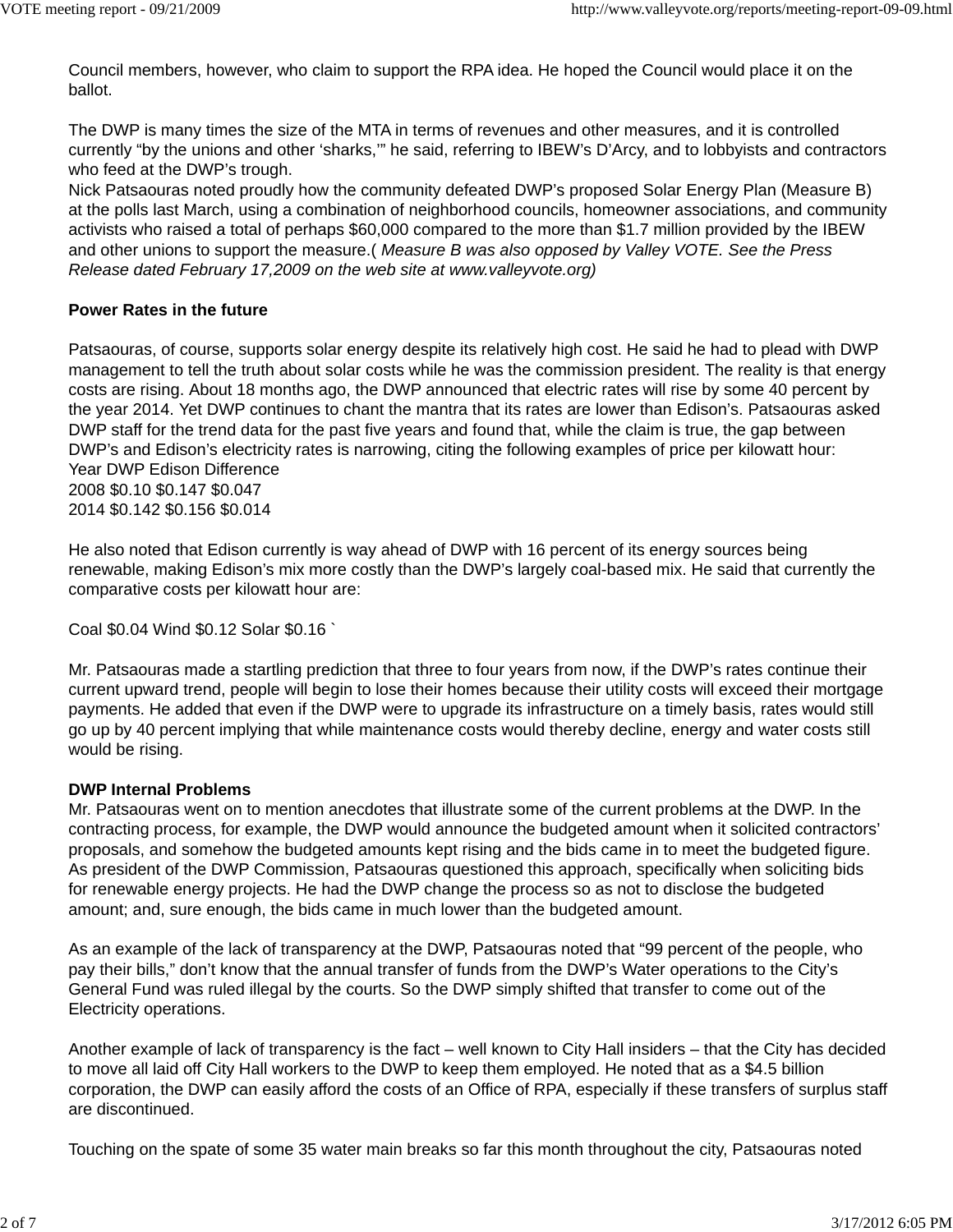Council members, however, who claim to support the RPA idea. He hoped the Council would place it on the ballot.

The DWP is many times the size of the MTA in terms of revenues and other measures, and it is controlled currently "by the unions and other 'sharks,'" he said, referring to IBEW's D'Arcy, and to lobbyists and contractors who feed at the DWP's trough.

Nick Patsaouras noted proudly how the community defeated DWP's proposed Solar Energy Plan (Measure B) at the polls last March, using a combination of neighborhood councils, homeowner associations, and community activists who raised a total of perhaps \$60,000 compared to the more than \$1.7 million provided by the IBEW and other unions to support the measure.( *Measure B was also opposed by Valley VOTE. See the Press Release dated February 17,2009 on the web site at www.valleyvote.org)*

#### **Power Rates in the future**

Patsaouras, of course, supports solar energy despite its relatively high cost. He said he had to plead with DWP management to tell the truth about solar costs while he was the commission president. The reality is that energy costs are rising. About 18 months ago, the DWP announced that electric rates will rise by some 40 percent by the year 2014. Yet DWP continues to chant the mantra that its rates are lower than Edison's. Patsaouras asked DWP staff for the trend data for the past five years and found that, while the claim is true, the gap between DWP's and Edison's electricity rates is narrowing, citing the following examples of price per kilowatt hour: Year DWP Edison Difference 2008 \$0.10 \$0.147 \$0.047

2014 \$0.142 \$0.156 \$0.014

He also noted that Edison currently is way ahead of DWP with 16 percent of its energy sources being renewable, making Edison's mix more costly than the DWP's largely coal-based mix. He said that currently the comparative costs per kilowatt hour are:

Coal \$0.04 Wind \$0.12 Solar \$0.16 `

Mr. Patsaouras made a startling prediction that three to four years from now, if the DWP's rates continue their current upward trend, people will begin to lose their homes because their utility costs will exceed their mortgage payments. He added that even if the DWP were to upgrade its infrastructure on a timely basis, rates would still go up by 40 percent implying that while maintenance costs would thereby decline, energy and water costs still would be rising.

## **DWP Internal Problems**

Mr. Patsaouras went on to mention anecdotes that illustrate some of the current problems at the DWP. In the contracting process, for example, the DWP would announce the budgeted amount when it solicited contractors' proposals, and somehow the budgeted amounts kept rising and the bids came in to meet the budgeted figure. As president of the DWP Commission, Patsaouras questioned this approach, specifically when soliciting bids for renewable energy projects. He had the DWP change the process so as not to disclose the budgeted amount; and, sure enough, the bids came in much lower than the budgeted amount.

As an example of the lack of transparency at the DWP, Patsaouras noted that "99 percent of the people, who pay their bills," don't know that the annual transfer of funds from the DWP's Water operations to the City's General Fund was ruled illegal by the courts. So the DWP simply shifted that transfer to come out of the Electricity operations.

Another example of lack of transparency is the fact – well known to City Hall insiders – that the City has decided to move all laid off City Hall workers to the DWP to keep them employed. He noted that as a \$4.5 billion corporation, the DWP can easily afford the costs of an Office of RPA, especially if these transfers of surplus staff are discontinued.

Touching on the spate of some 35 water main breaks so far this month throughout the city, Patsaouras noted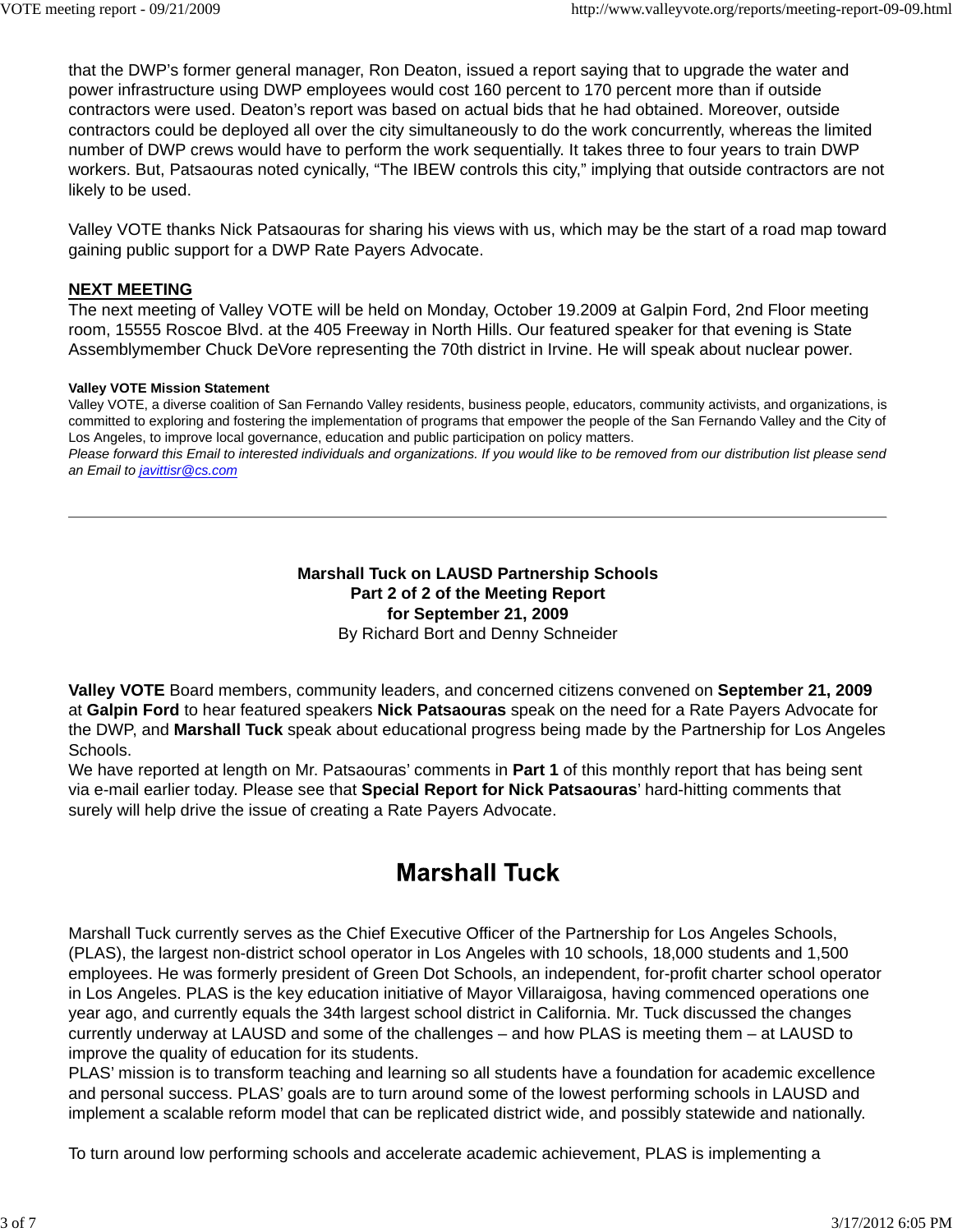that the DWP's former general manager, Ron Deaton, issued a report saying that to upgrade the water and power infrastructure using DWP employees would cost 160 percent to 170 percent more than if outside contractors were used. Deaton's report was based on actual bids that he had obtained. Moreover, outside contractors could be deployed all over the city simultaneously to do the work concurrently, whereas the limited number of DWP crews would have to perform the work sequentially. It takes three to four years to train DWP workers. But, Patsaouras noted cynically, "The IBEW controls this city," implying that outside contractors are not likely to be used.

Valley VOTE thanks Nick Patsaouras for sharing his views with us, which may be the start of a road map toward gaining public support for a DWP Rate Payers Advocate.

## **NEXT MEETING**

The next meeting of Valley VOTE will be held on Monday, October 19.2009 at Galpin Ford, 2nd Floor meeting room, 15555 Roscoe Blvd. at the 405 Freeway in North Hills. Our featured speaker for that evening is State Assemblymember Chuck DeVore representing the 70th district in Irvine. He will speak about nuclear power.

#### **Valley VOTE Mission Statement**

Valley VOTE, a diverse coalition of San Fernando Valley residents, business people, educators, community activists, and organizations, is committed to exploring and fostering the implementation of programs that empower the people of the San Fernando Valley and the City of Los Angeles, to improve local governance, education and public participation on policy matters. *Please forward this Email to interested individuals and organizations. If you would like to be removed from our distribution list please send*

*an Email to javittisr@cs.com*

## **Marshall Tuck on LAUSD Partnership Schools Part 2 of 2 of the Meeting Report for September 21, 2009** By Richard Bort and Denny Schneider

**Valley VOTE** Board members, community leaders, and concerned citizens convened on **September 21, 2009** at **Galpin Ford** to hear featured speakers **Nick Patsaouras** speak on the need for a Rate Payers Advocate for the DWP, and **Marshall Tuck** speak about educational progress being made by the Partnership for Los Angeles Schools.

We have reported at length on Mr. Patsaouras' comments in **Part 1** of this monthly report that has being sent via e-mail earlier today. Please see that **Special Report for Nick Patsaouras**' hard-hitting comments that surely will help drive the issue of creating a Rate Payers Advocate.

# **Marshall Tuck**

Marshall Tuck currently serves as the Chief Executive Officer of the Partnership for Los Angeles Schools, (PLAS), the largest non-district school operator in Los Angeles with 10 schools, 18,000 students and 1,500 employees. He was formerly president of Green Dot Schools, an independent, for-profit charter school operator in Los Angeles. PLAS is the key education initiative of Mayor Villaraigosa, having commenced operations one year ago, and currently equals the 34th largest school district in California. Mr. Tuck discussed the changes currently underway at LAUSD and some of the challenges – and how PLAS is meeting them – at LAUSD to improve the quality of education for its students.

PLAS' mission is to transform teaching and learning so all students have a foundation for academic excellence and personal success. PLAS' goals are to turn around some of the lowest performing schools in LAUSD and implement a scalable reform model that can be replicated district wide, and possibly statewide and nationally.

To turn around low performing schools and accelerate academic achievement, PLAS is implementing a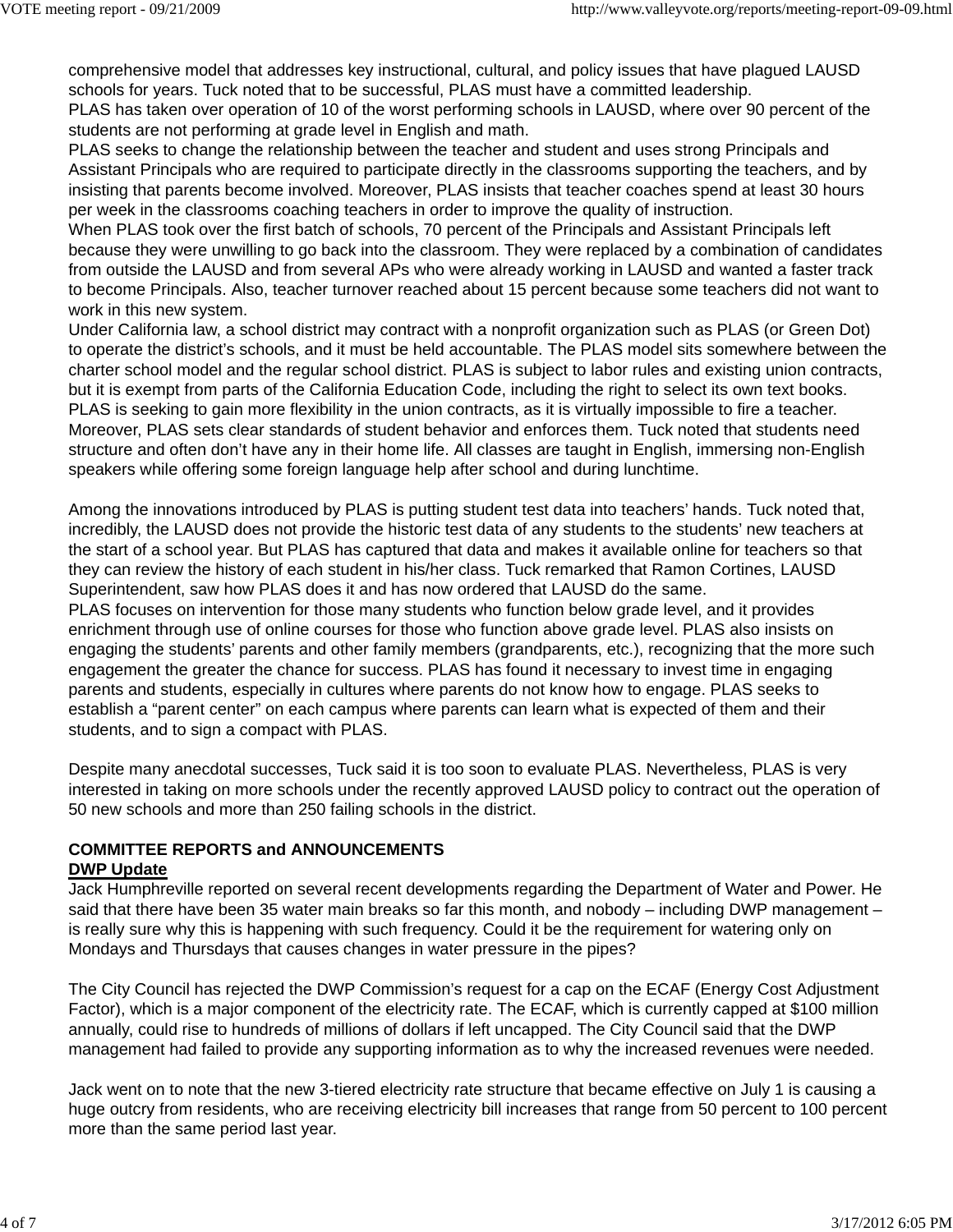comprehensive model that addresses key instructional, cultural, and policy issues that have plagued LAUSD schools for years. Tuck noted that to be successful, PLAS must have a committed leadership. PLAS has taken over operation of 10 of the worst performing schools in LAUSD, where over 90 percent of the

students are not performing at grade level in English and math.

PLAS seeks to change the relationship between the teacher and student and uses strong Principals and Assistant Principals who are required to participate directly in the classrooms supporting the teachers, and by insisting that parents become involved. Moreover, PLAS insists that teacher coaches spend at least 30 hours per week in the classrooms coaching teachers in order to improve the quality of instruction.

When PLAS took over the first batch of schools, 70 percent of the Principals and Assistant Principals left because they were unwilling to go back into the classroom. They were replaced by a combination of candidates from outside the LAUSD and from several APs who were already working in LAUSD and wanted a faster track to become Principals. Also, teacher turnover reached about 15 percent because some teachers did not want to work in this new system.

Under California law, a school district may contract with a nonprofit organization such as PLAS (or Green Dot) to operate the district's schools, and it must be held accountable. The PLAS model sits somewhere between the charter school model and the regular school district. PLAS is subject to labor rules and existing union contracts, but it is exempt from parts of the California Education Code, including the right to select its own text books. PLAS is seeking to gain more flexibility in the union contracts, as it is virtually impossible to fire a teacher. Moreover, PLAS sets clear standards of student behavior and enforces them. Tuck noted that students need structure and often don't have any in their home life. All classes are taught in English, immersing non-English speakers while offering some foreign language help after school and during lunchtime.

Among the innovations introduced by PLAS is putting student test data into teachers' hands. Tuck noted that, incredibly, the LAUSD does not provide the historic test data of any students to the students' new teachers at the start of a school year. But PLAS has captured that data and makes it available online for teachers so that they can review the history of each student in his/her class. Tuck remarked that Ramon Cortines, LAUSD Superintendent, saw how PLAS does it and has now ordered that LAUSD do the same.

PLAS focuses on intervention for those many students who function below grade level, and it provides enrichment through use of online courses for those who function above grade level. PLAS also insists on engaging the students' parents and other family members (grandparents, etc.), recognizing that the more such engagement the greater the chance for success. PLAS has found it necessary to invest time in engaging parents and students, especially in cultures where parents do not know how to engage. PLAS seeks to establish a "parent center" on each campus where parents can learn what is expected of them and their students, and to sign a compact with PLAS.

Despite many anecdotal successes, Tuck said it is too soon to evaluate PLAS. Nevertheless, PLAS is very interested in taking on more schools under the recently approved LAUSD policy to contract out the operation of 50 new schools and more than 250 failing schools in the district.

## **COMMITTEE REPORTS and ANNOUNCEMENTS DWP Update**

Jack Humphreville reported on several recent developments regarding the Department of Water and Power. He said that there have been 35 water main breaks so far this month, and nobody – including DWP management – is really sure why this is happening with such frequency. Could it be the requirement for watering only on Mondays and Thursdays that causes changes in water pressure in the pipes?

The City Council has rejected the DWP Commission's request for a cap on the ECAF (Energy Cost Adjustment Factor), which is a major component of the electricity rate. The ECAF, which is currently capped at \$100 million annually, could rise to hundreds of millions of dollars if left uncapped. The City Council said that the DWP management had failed to provide any supporting information as to why the increased revenues were needed.

Jack went on to note that the new 3-tiered electricity rate structure that became effective on July 1 is causing a huge outcry from residents, who are receiving electricity bill increases that range from 50 percent to 100 percent more than the same period last year.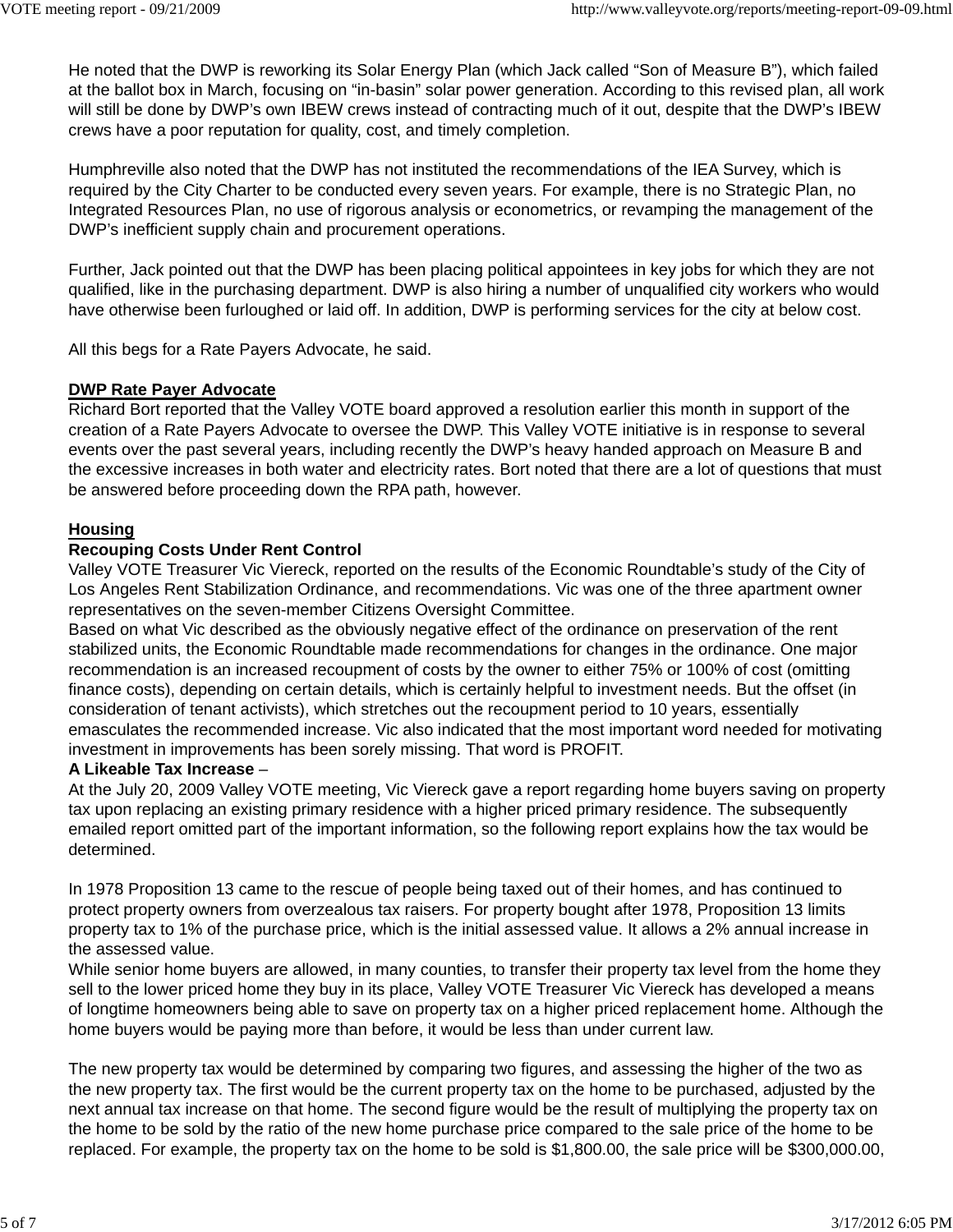He noted that the DWP is reworking its Solar Energy Plan (which Jack called "Son of Measure B"), which failed at the ballot box in March, focusing on "in-basin" solar power generation. According to this revised plan, all work will still be done by DWP's own IBEW crews instead of contracting much of it out, despite that the DWP's IBEW crews have a poor reputation for quality, cost, and timely completion.

Humphreville also noted that the DWP has not instituted the recommendations of the IEA Survey, which is required by the City Charter to be conducted every seven years. For example, there is no Strategic Plan, no Integrated Resources Plan, no use of rigorous analysis or econometrics, or revamping the management of the DWP's inefficient supply chain and procurement operations.

Further, Jack pointed out that the DWP has been placing political appointees in key jobs for which they are not qualified, like in the purchasing department. DWP is also hiring a number of unqualified city workers who would have otherwise been furloughed or laid off. In addition, DWP is performing services for the city at below cost.

All this begs for a Rate Payers Advocate, he said.

## **DWP Rate Payer Advocate**

Richard Bort reported that the Valley VOTE board approved a resolution earlier this month in support of the creation of a Rate Payers Advocate to oversee the DWP. This Valley VOTE initiative is in response to several events over the past several years, including recently the DWP's heavy handed approach on Measure B and the excessive increases in both water and electricity rates. Bort noted that there are a lot of questions that must be answered before proceeding down the RPA path, however.

#### **Housing**

## **Recouping Costs Under Rent Control**

Valley VOTE Treasurer Vic Viereck, reported on the results of the Economic Roundtable's study of the City of Los Angeles Rent Stabilization Ordinance, and recommendations. Vic was one of the three apartment owner representatives on the seven-member Citizens Oversight Committee.

Based on what Vic described as the obviously negative effect of the ordinance on preservation of the rent stabilized units, the Economic Roundtable made recommendations for changes in the ordinance. One major recommendation is an increased recoupment of costs by the owner to either 75% or 100% of cost (omitting finance costs), depending on certain details, which is certainly helpful to investment needs. But the offset (in consideration of tenant activists), which stretches out the recoupment period to 10 years, essentially emasculates the recommended increase. Vic also indicated that the most important word needed for motivating investment in improvements has been sorely missing. That word is PROFIT.

#### **A Likeable Tax Increase** –

At the July 20, 2009 Valley VOTE meeting, Vic Viereck gave a report regarding home buyers saving on property tax upon replacing an existing primary residence with a higher priced primary residence. The subsequently emailed report omitted part of the important information, so the following report explains how the tax would be determined.

In 1978 Proposition 13 came to the rescue of people being taxed out of their homes, and has continued to protect property owners from overzealous tax raisers. For property bought after 1978, Proposition 13 limits property tax to 1% of the purchase price, which is the initial assessed value. It allows a 2% annual increase in the assessed value.

While senior home buyers are allowed, in many counties, to transfer their property tax level from the home they sell to the lower priced home they buy in its place, Valley VOTE Treasurer Vic Viereck has developed a means of longtime homeowners being able to save on property tax on a higher priced replacement home. Although the home buyers would be paying more than before, it would be less than under current law.

The new property tax would be determined by comparing two figures, and assessing the higher of the two as the new property tax. The first would be the current property tax on the home to be purchased, adjusted by the next annual tax increase on that home. The second figure would be the result of multiplying the property tax on the home to be sold by the ratio of the new home purchase price compared to the sale price of the home to be replaced. For example, the property tax on the home to be sold is \$1,800.00, the sale price will be \$300,000.00,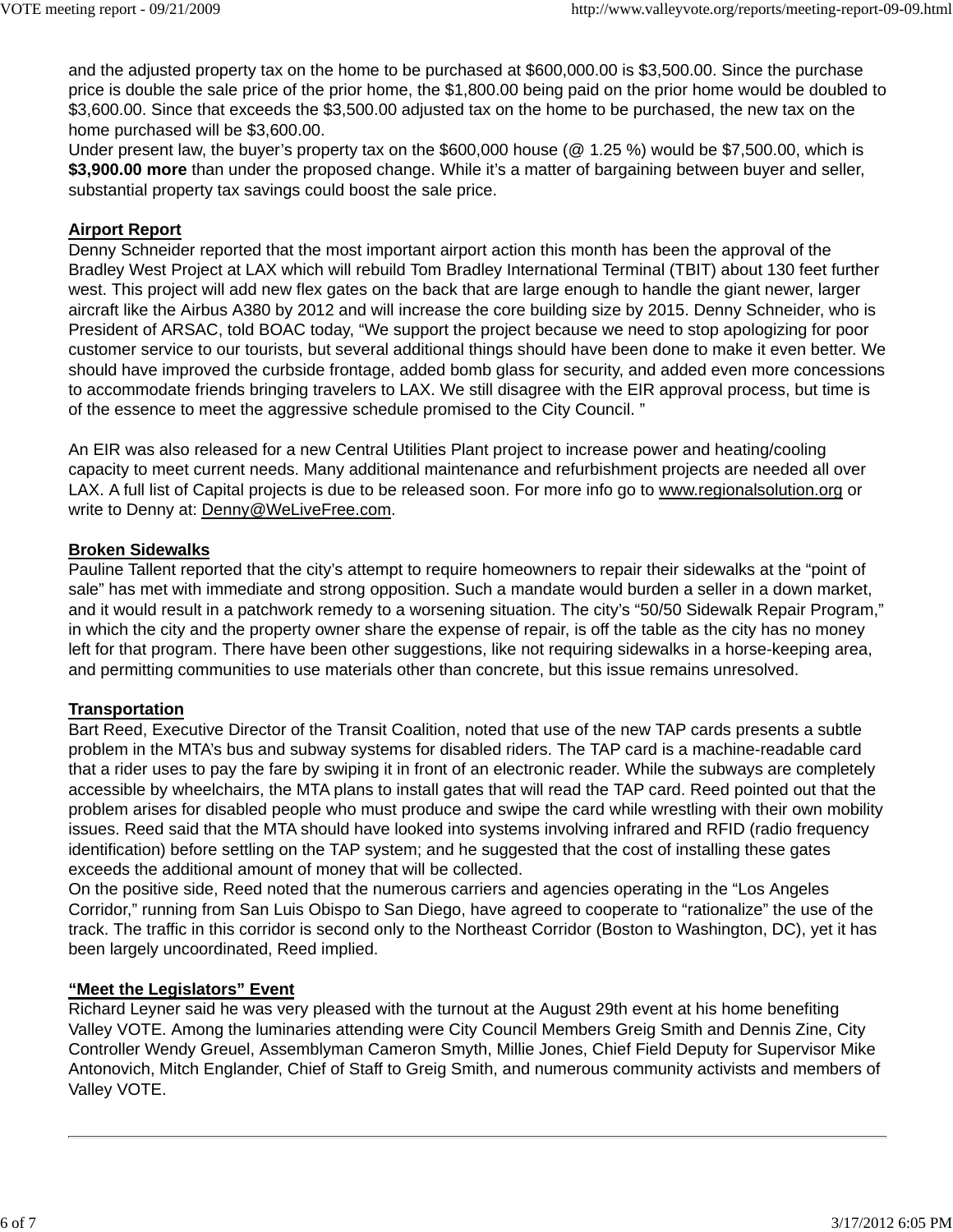and the adjusted property tax on the home to be purchased at \$600,000.00 is \$3,500.00. Since the purchase price is double the sale price of the prior home, the \$1,800.00 being paid on the prior home would be doubled to \$3,600.00. Since that exceeds the \$3,500.00 adjusted tax on the home to be purchased, the new tax on the home purchased will be \$3,600.00.

Under present law, the buyer's property tax on the \$600,000 house (@ 1.25 %) would be \$7,500.00, which is **\$3,900.00 more** than under the proposed change. While it's a matter of bargaining between buyer and seller, substantial property tax savings could boost the sale price.

# **Airport Report**

Denny Schneider reported that the most important airport action this month has been the approval of the Bradley West Project at LAX which will rebuild Tom Bradley International Terminal (TBIT) about 130 feet further west. This project will add new flex gates on the back that are large enough to handle the giant newer, larger aircraft like the Airbus A380 by 2012 and will increase the core building size by 2015. Denny Schneider, who is President of ARSAC, told BOAC today, "We support the project because we need to stop apologizing for poor customer service to our tourists, but several additional things should have been done to make it even better. We should have improved the curbside frontage, added bomb glass for security, and added even more concessions to accommodate friends bringing travelers to LAX. We still disagree with the EIR approval process, but time is of the essence to meet the aggressive schedule promised to the City Council. "

An EIR was also released for a new Central Utilities Plant project to increase power and heating/cooling capacity to meet current needs. Many additional maintenance and refurbishment projects are needed all over LAX. A full list of Capital projects is due to be released soon. For more info go to www.regionalsolution.org or write to Denny at: Denny@WeLiveFree.com.

## **Broken Sidewalks**

Pauline Tallent reported that the city's attempt to require homeowners to repair their sidewalks at the "point of sale" has met with immediate and strong opposition. Such a mandate would burden a seller in a down market, and it would result in a patchwork remedy to a worsening situation. The city's "50/50 Sidewalk Repair Program," in which the city and the property owner share the expense of repair, is off the table as the city has no money left for that program. There have been other suggestions, like not requiring sidewalks in a horse-keeping area, and permitting communities to use materials other than concrete, but this issue remains unresolved.

# **Transportation**

Bart Reed, Executive Director of the Transit Coalition, noted that use of the new TAP cards presents a subtle problem in the MTA's bus and subway systems for disabled riders. The TAP card is a machine-readable card that a rider uses to pay the fare by swiping it in front of an electronic reader. While the subways are completely accessible by wheelchairs, the MTA plans to install gates that will read the TAP card. Reed pointed out that the problem arises for disabled people who must produce and swipe the card while wrestling with their own mobility issues. Reed said that the MTA should have looked into systems involving infrared and RFID (radio frequency identification) before settling on the TAP system; and he suggested that the cost of installing these gates exceeds the additional amount of money that will be collected.

On the positive side, Reed noted that the numerous carriers and agencies operating in the "Los Angeles Corridor," running from San Luis Obispo to San Diego, have agreed to cooperate to "rationalize" the use of the track. The traffic in this corridor is second only to the Northeast Corridor (Boston to Washington, DC), yet it has been largely uncoordinated, Reed implied.

## **"Meet the Legislators" Event**

Richard Leyner said he was very pleased with the turnout at the August 29th event at his home benefiting Valley VOTE. Among the luminaries attending were City Council Members Greig Smith and Dennis Zine, City Controller Wendy Greuel, Assemblyman Cameron Smyth, Millie Jones, Chief Field Deputy for Supervisor Mike Antonovich, Mitch Englander, Chief of Staff to Greig Smith, and numerous community activists and members of Valley VOTE.